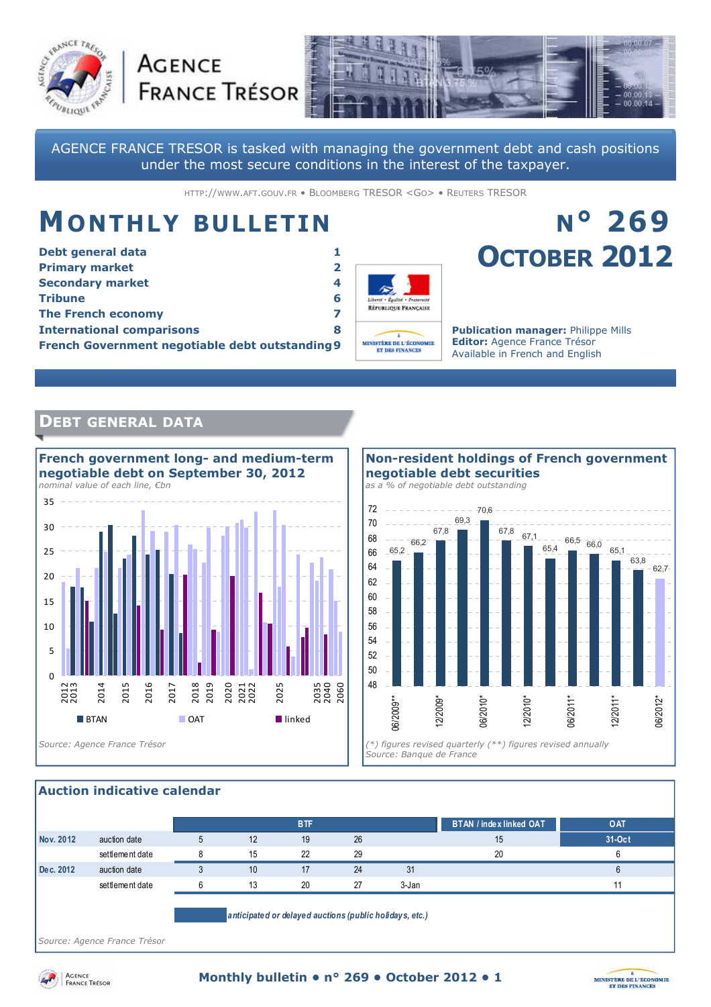



AGENCE FRANCE TRESOR is tasked with managing the government debt and cash positions under the most secure conditions in the interest of the taxpayer.

HTTP://WWW.AFT.GOUV.FR • BLOOMBERG TRESOR <GO> • REUTERS TRESOR

# **MONTHLY BULLETIN**

**AGENCE** 

| Debt general data                               |   |  |  |  |
|-------------------------------------------------|---|--|--|--|
| <b>Primary market</b>                           | 2 |  |  |  |
| <b>Secondary market</b>                         | 4 |  |  |  |
| <b>Tribune</b>                                  | 6 |  |  |  |
| <b>The French economy</b>                       |   |  |  |  |
| <b>International comparisons</b>                | 8 |  |  |  |
| French Government negotiable debt outstanding 9 |   |  |  |  |



# **N° 269 OCTOBER 2012**

**Publication manager:** Philippe Mills **Editor:** Agence France Trésor Available in French and English

## **DEBT GENERAL DATA**





#### **Auction indicative calendar**

|           |                                                          |  |    | <b>BTF</b> |    |       | <b>BTAN / index linked OAT</b> | OAT    |  |
|-----------|----------------------------------------------------------|--|----|------------|----|-------|--------------------------------|--------|--|
| Nov. 2012 | auction date                                             |  | 12 | 19         | 26 |       | 15                             | 31-Oct |  |
|           | settlement date                                          |  | 15 | 22         | 29 |       | 20                             |        |  |
| Dec. 2012 | auction date                                             |  | 10 | 17         | 24 | 31    |                                |        |  |
|           | settlement date                                          |  | 13 | 20         | 27 | 3-Jan |                                |        |  |
|           |                                                          |  |    |            |    |       |                                |        |  |
|           | a pricipate d or delayed auctions (public holidays etc.) |  |    |            |    |       |                                |        |  |

*anticipated or delayed auctions (public holidays, etc.)*

*Source: Agence France Trésor* 



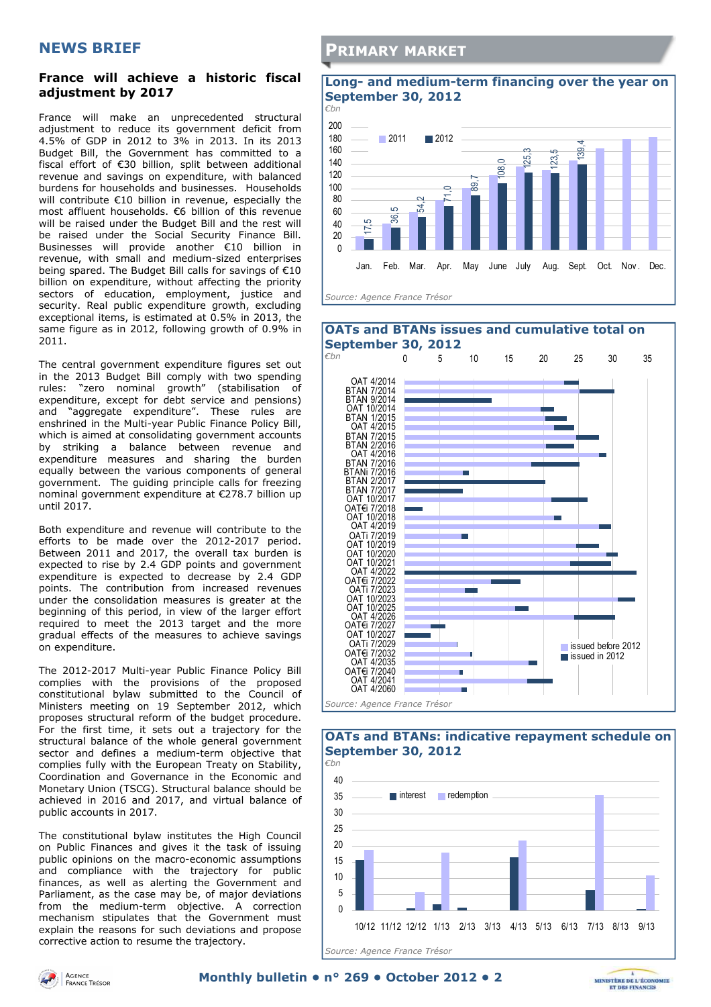#### **NEWS BRIEF**

#### **France will achieve a historic fiscal adjustment by 2017**

France will make an unprecedented structural adjustment to reduce its government deficit from 4.5% of GDP in 2012 to 3% in 2013. In its 2013 Budget Bill, the Government has committed to a fiscal effort of €30 billion, split between additional revenue and savings on expenditure, with balanced burdens for households and businesses. Households will contribute €10 billion in revenue, especially the most affluent households. €6 billion of this revenue will be raised under the Budget Bill and the rest will be raised under the Social Security Finance Bill. Businesses will provide another €10 billion in revenue, with small and medium-sized enterprises being spared. The Budget Bill calls for savings of €10 billion on expenditure, without affecting the priority sectors of education, employment, justice and security. Real public expenditure growth, excluding exceptional items, is estimated at  $0.5\%$  in 2013, the same figure as in 2012, following growth of 0.9% in 2011.

The central government expenditure figures set out in the 2013 Budget Bill comply with two spending rules: "zero nominal growth" (stabilisation of expenditure, except for debt service and pensions) and "aggregate expenditure". These rules are enshrined in the Multi-year Public Finance Policy Bill, which is aimed at consolidating government accounts by striking a balance between revenue and expenditure measures and sharing the burden equally between the various components of general government. The guiding principle calls for freezing nominal government expenditure at €278.7 billion up until 2017.

Both expenditure and revenue will contribute to the efforts to be made over the 2012-2017 period. Between 2011 and 2017, the overall tax burden is expected to rise by 2.4 GDP points and government expenditure is expected to decrease by 2.4 GDP points. The contribution from increased revenues under the consolidation measures is greater at the beginning of this period, in view of the larger effort required to meet the 2013 target and the more gradual effects of the measures to achieve savings on expenditure.

The 2012-2017 Multi-year Public Finance Policy Bill complies with the provisions of the proposed constitutional bylaw submitted to the Council of Ministers meeting on 19 September 2012, which proposes structural reform of the budget procedure. For the first time, it sets out a trajectory for the structural balance of the whole general government sector and defines a medium-term objective that complies fully with the European Treaty on Stability, Coordination and Governance in the Economic and Monetary Union (TSCG). Structural balance should be achieved in 2016 and 2017, and virtual balance of public accounts in 2017.

The constitutional bylaw institutes the High Council on Public Finances and gives it the task of issuing public opinions on the macro-economic assumptions and compliance with the trajectory for public finances, as well as alerting the Government and Parliament, as the case may be, of major deviations from the medium-term objective. A correction mechanism stipulates that the Government must explain the reasons for such deviations and propose corrective action to resume the trajectory.

#### **PRIMARY MARKET**

#### **Long- and medium-term financing over the year on September 30, 2012**





#### **OATs and BTANs: indicative repayment schedule on September 30, 2012**





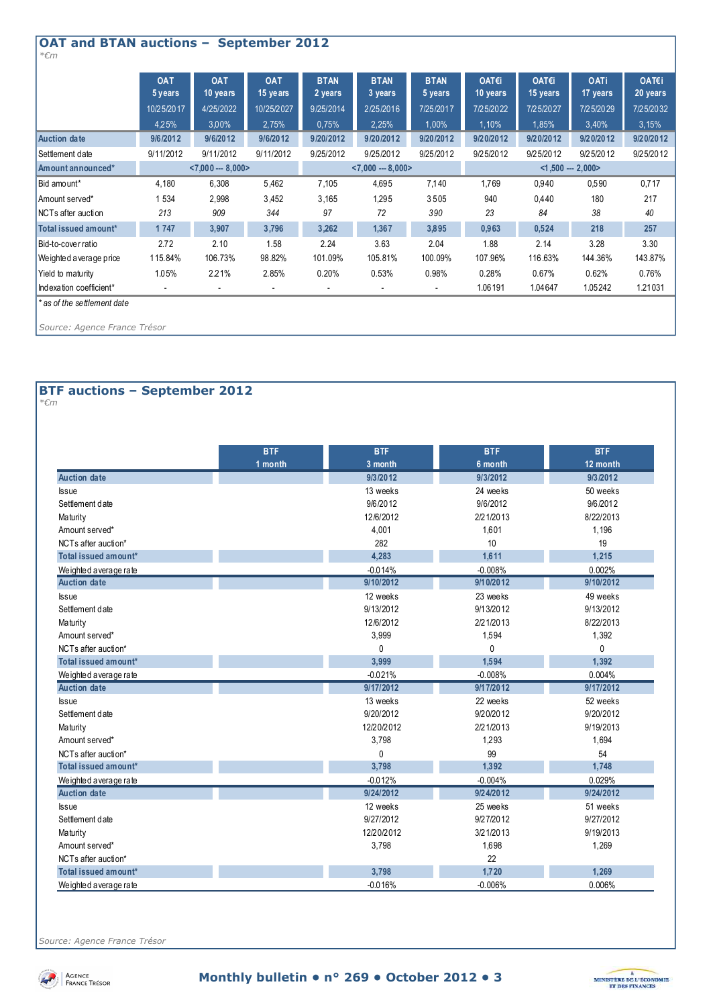| <b>OAT and BTAN auctions -</b><br><b>September 2012</b><br>$* \epsilon m$ |                       |                        |                        |                        |                        |                        |                      |                   |                         |                   |
|---------------------------------------------------------------------------|-----------------------|------------------------|------------------------|------------------------|------------------------|------------------------|----------------------|-------------------|-------------------------|-------------------|
|                                                                           | <b>OAT</b><br>5 years | <b>OAT</b><br>10 years | <b>OAT</b><br>15 years | <b>BTAN</b><br>2 years | <b>BTAN</b><br>3 years | <b>BTAN</b><br>5 years | OAT€i<br>10 years    | OAT€i<br>15 years | <b>OATi</b><br>17 years | OAT€i<br>20 years |
|                                                                           | 10/25/2017            | 4/25/2022              | 10/25/2027             | 9/25/2014              | 2/25/2016              | 7/25/2017              | 7/25/2022            | 7/25/2027         | 7/25/2029               | 7/25/2032         |
|                                                                           | 4,25%                 | 3,00%                  | 2,75%                  | 0,75%                  | 2,25%                  | $1,00\%$               | 1,10%                | 1,85%             | 3,40%                   | 3,15%             |
| <b>Auction date</b>                                                       | 9/6/2012              | 9/6/2012               | 9/6/2012               | 9/20/2012              | 9/20/2012              | 9/20/2012              | 9/20/2012            | 9/20/2012         | 9/20/2012               | 9/20/2012         |
| Settlement date                                                           | 9/11/2012             | 9/11/2012              | 9/11/2012              | 9/25/2012              | 9/25/2012              | 9/25/2012              | 9/25/2012            | 9/25/2012         | 9/25/2012               | 9/25/2012         |
| Amount announced*                                                         |                       | $< 7,000 - 8,000 >$    |                        | $< 7,000 - 8,000 >$    |                        |                        | $<$ 1,500 --- 2,000> |                   |                         |                   |
| Bid amount*                                                               | 4,180                 | 6,308                  | 5,462                  | 7,105                  | 4,695                  | 7,140                  | 1,769                | 0,940             | 0,590                   | 0,717             |
| Amount served*                                                            | 1 534                 | 2,998                  | 3,452                  | 3,165                  | 1,295                  | 3505                   | 940                  | 0,440             | 180                     | 217               |
| NCTs after auction                                                        | 213                   | 909                    | 344                    | 97                     | 72                     | 390                    | 23                   | 84                | 38                      | 40                |
| Total issued amount*                                                      | 1747                  | 3,907                  | 3,796                  | 3,262                  | 1,367                  | 3,895                  | 0,963                | 0,524             | 218                     | 257               |
| Bid-to-cover ratio                                                        | 2.72                  | 2.10                   | 1.58                   | 2.24                   | 3.63                   | 2.04                   | 1.88                 | 2.14              | 3.28                    | 3.30              |
| Weighted a verage price                                                   | 115.84%               | 106.73%                | 98.82%                 | 101.09%                | 105.81%                | 100.09%                | 107.96%              | 116.63%           | 144.36%                 | 143.87%           |
| Yield to maturity                                                         | 1.05%                 | 2.21%                  | 2.85%                  | 0.20%                  | 0.53%                  | 0.98%                  | 0.28%                | 0.67%             | 0.62%                   | 0.76%             |
| Indexation coefficient*                                                   |                       |                        |                        |                        |                        |                        | 1.06191              | 1.04647           | 1.05242                 | 1.21031           |
| * as of the settlement date                                               |                       |                        |                        |                        |                        |                        |                      |                   |                         |                   |
| Source: Agence France Trésor                                              |                       |                        |                        |                        |                        |                        |                      |                   |                         |                   |

## **BTF auctions – September 2012**

*\*€m* 

|                       | <b>BTF</b> | <b>BTF</b>   | <b>BTF</b> | <b>BTF</b> |
|-----------------------|------------|--------------|------------|------------|
|                       | 1 month    | $3$ month    | 6 month    | 12 month   |
| <b>Auction date</b>   |            | 9/3/2012     | 9/3/2012   | 9/3/2012   |
| <b>Issue</b>          |            | 13 weeks     | 24 weeks   | 50 weeks   |
| Settlement date       |            | 9/6/2012     | 9/6/2012   | 9/6/2012   |
| Maturity              |            | 12/6/2012    | 2/21/2013  | 8/22/2013  |
| Amount served*        |            | 4,001        | 1.601      | 1,196      |
| NCTs after auction*   |            | 282          | 10         | 19         |
| Total issued amount*  |            | 4,283        | 1,611      | 1,215      |
| Weighted average rate |            | $-0.014%$    | $-0.008%$  | 0.002%     |
| Auction date          |            | 9/10/2012    | 9/10/2012  | 9/10/2012  |
| <b>Issue</b>          |            | 12 weeks     | 23 weeks   | 49 weeks   |
| Settlement date       |            | 9/13/2012    | 9/13/2012  | 9/13/2012  |
| Maturity              |            | 12/6/2012    | 2/21/2013  | 8/22/2013  |
| Amount served*        |            | 3,999        | 1,594      | 1,392      |
| NCTs after auction*   |            | $\mathbf{0}$ | 0          | $\Omega$   |
| Total issued amount*  |            | 3,999        | 1,594      | 1.392      |
| Weighted average rate |            | $-0.021%$    | $-0.008%$  | 0.004%     |
| <b>Auction date</b>   |            | 9/17/2012    | 9/17/2012  | 9/17/2012  |
| <b>Issue</b>          |            | 13 weeks     | 22 weeks   | 52 weeks   |
| Settlement date       |            | 9/20/2012    | 9/20/2012  | 9/20/2012  |
| Maturity              |            | 12/20/2012   | 2/21/2013  | 9/19/2013  |
| Amount served*        |            | 3,798        | 1,293      | 1,694      |
| NCTs after auction*   |            | 0            | 99         | 54         |
| Total issued amount*  |            | 3.798        | 1,392      | 1,748      |
| Weighted average rate |            | $-0.012%$    | $-0.004%$  | 0.029%     |
| <b>Auction date</b>   |            | 9/24/2012    | 9/24/2012  | 9/24/2012  |
| <b>Issue</b>          |            | 12 weeks     | 25 weeks   | 51 weeks   |
| Settlement date       |            | 9/27/2012    | 9/27/2012  | 9/27/2012  |
| Maturity              |            | 12/20/2012   | 3/21/2013  | 9/19/2013  |
| Amount served*        |            | 3,798        | 1,698      | 1,269      |
| NCTs after auction*   |            |              | 22         |            |
| Total issued amount*  |            | 3,798        | 1,720      | 1,269      |
| Weighted average rate |            | $-0.016%$    | $-0.006%$  | 0.006%     |

*Source: Agence France Trésor* 



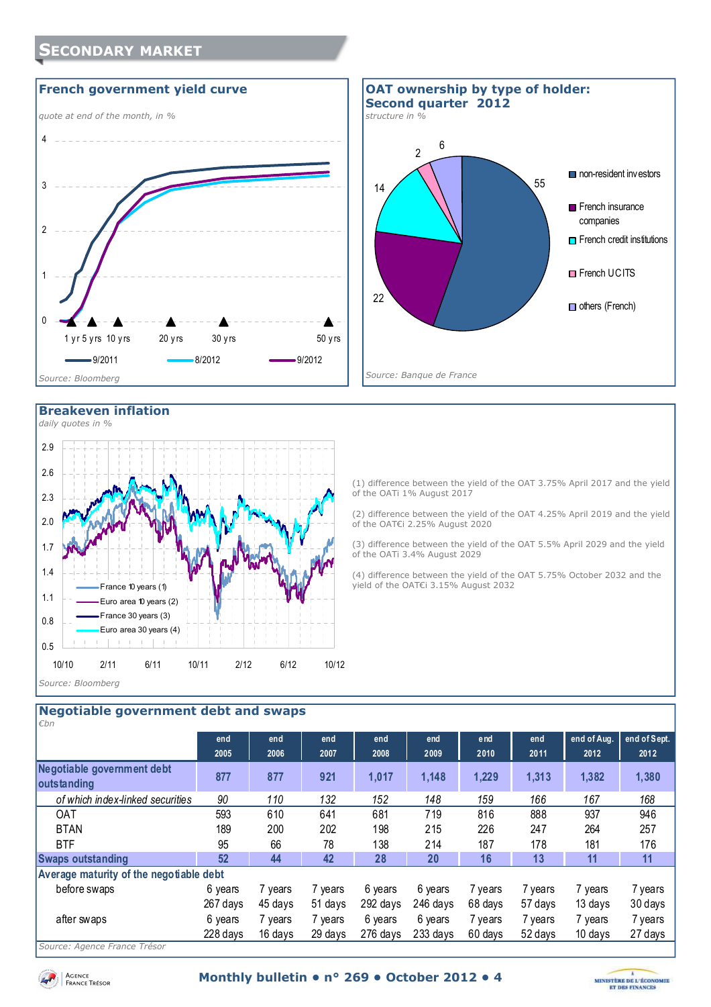## **SECONDARY MARKET**





#### **Breakeven inflation**



(1) difference between the yield of the OAT 3.75% April 2017 and the yield of the OATi 1% August 2017

(2) difference between the yield of the OAT 4.25% April 2019 and the yield of the OAT€i 2.25% August 2020

(3) difference between the yield of the OAT 5.5% April 2029 and the yield of the OATi 3.4% August 2029

(4) difference between the yield of the OAT 5.75% October 2032 and the yield of the OAT€i 3.15% August 2032

#### **Negotiable government debt and swaps**

| l€bn                                      |          |         |         |          |          |         |         |             |              |
|-------------------------------------------|----------|---------|---------|----------|----------|---------|---------|-------------|--------------|
|                                           | end      | end     | end     | end      | end      | end     | end     | end of Aug. | end of Sept. |
|                                           | 2005     | 2006    | 2007    | 2008     | 2009     | 2010    | 2011    | 2012        | 2012         |
| Negotiable government debt<br>outstanding | 877      | 877     | 921     | 1,017    | 1,148    | 1,229   | 1,313   | 1,382       | 1,380        |
| of which index-linked securities          | 90       | 110     | 132     | 152      | 148      | 159     | 166     | 167         | 168          |
| <b>OAT</b>                                | 593      | 610     | 641     | 681      | 719      | 816     | 888     | 937         | 946          |
| <b>BTAN</b>                               | 189      | 200     | 202     | 198      | 215      | 226     | 247     | 264         | 257          |
| <b>BTF</b>                                | 95       | 66      | 78      | 138      | 214      | 187     | 178     | 181         | 176          |
| <b>Swaps outstanding</b>                  | 52       | 44      | 42      | 28       | 20       | 16      | 13      | 11          | 11           |
| Average maturity of the negotiable debt   |          |         |         |          |          |         |         |             |              |
| before swaps                              | 6 years  | 7 years | 7 years | 6 years  | 6 years  | 7 years | 7 years | ' years     | 7 years      |
|                                           | 267 days | 45 days | 51 days | 292 days | 246 davs | 68 days | 57 days | 13 days     | 30 days      |
| after swaps                               | 6 years  | 7 years | 7 years | 6 years  | 6 years  | 7 years | 7 years | 7 years     | 7 years      |
|                                           | 228 days | 16 days | 29 days | 276 days | 233 days | 60 days | 52 days | 10 days     | 27 days      |
| Cource: Agance France Trécor              |          |         |         |          |          |         |         |             |              |

*Source: Agence France Trésor* 

Agence<br>France Trésor

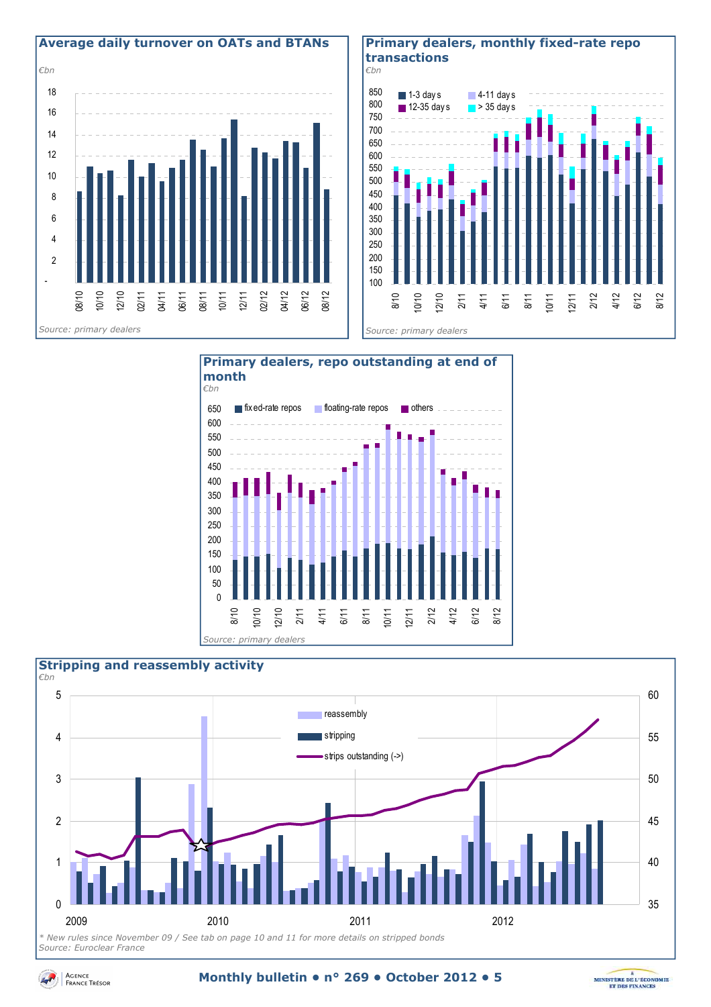

#### **Primary dealers, monthly fixed-rate repo transactions**







*Source: Euroclear France* 



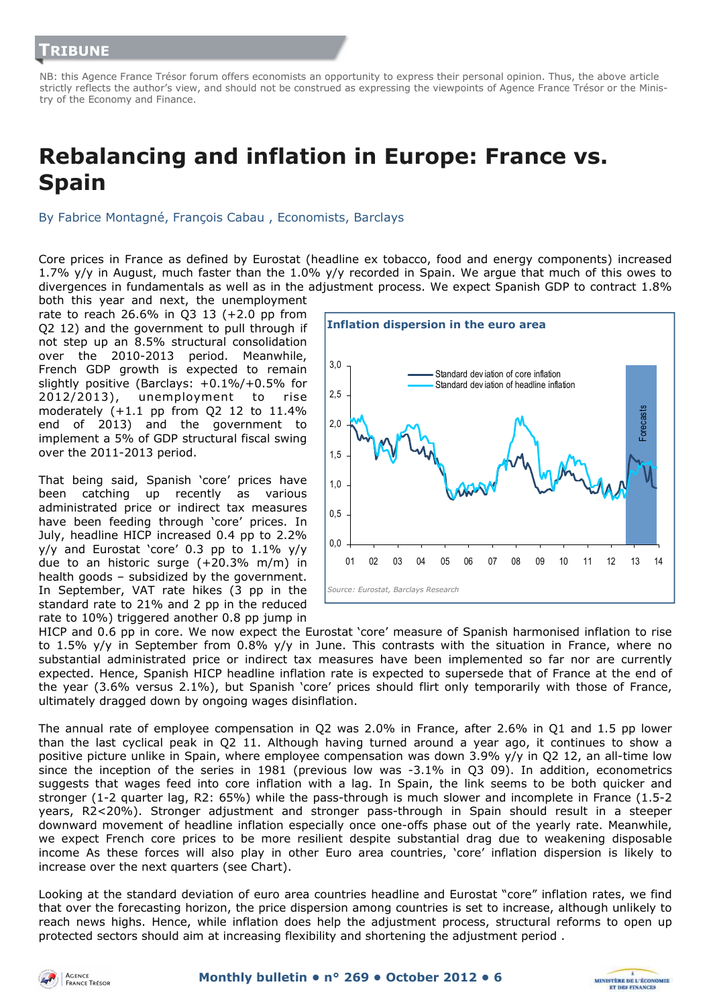NB: this Agence France Trésor forum offers economists an opportunity to express their personal opinion. Thus, the above article strictly reflects the author's view, and should not be construed as expressing the viewpoints of Agence France Trésor or the Ministry of the Economy and Finance.

## **Rebalancing and inflation in Europe: France vs. Spain**

By Fabrice Montagné, François Cabau , Economists, Barclays

Core prices in France as defined by Eurostat (headline ex tobacco, food and energy components) increased 1.7% y/y in August, much faster than the 1.0% y/y recorded in Spain. We argue that much of this owes to divergences in fundamentals as well as in the adjustment process. We expect Spanish GDP to contract 1.8%

both this year and next, the unemployment rate to reach 26.6% in Q3 13 (+2.0 pp from Q2 12) and the government to pull through if not step up an 8.5% structural consolidation over the 2010-2013 period. Meanwhile, French GDP growth is expected to remain slightly positive (Barclays: +0.1%/+0.5% for 2012/2013), unemployment to rise moderately (+1.1 pp from Q2 12 to 11.4% end of 2013) and the government to implement a 5% of GDP structural fiscal swing over the 2011-2013 period.

That being said, Spanish 'core' prices have been catching up recently as various administrated price or indirect tax measures have been feeding through 'core' prices. In July, headline HICP increased 0.4 pp to 2.2% y/y and Eurostat 'core' 0.3 pp to 1.1% y/y due to an historic surge (+20.3% m/m) in health goods – subsidized by the government. In September, VAT rate hikes (3 pp in the standard rate to 21% and 2 pp in the reduced rate to 10%) triggered another 0.8 pp jump in



HICP and 0.6 pp in core. We now expect the Eurostat 'core' measure of Spanish harmonised inflation to rise to 1.5% y/y in September from 0.8% y/y in June. This contrasts with the situation in France, where no substantial administrated price or indirect tax measures have been implemented so far nor are currently expected. Hence, Spanish HICP headline inflation rate is expected to supersede that of France at the end of the year (3.6% versus 2.1%), but Spanish 'core' prices should flirt only temporarily with those of France, ultimately dragged down by ongoing wages disinflation.

The annual rate of employee compensation in Q2 was 2.0% in France, after 2.6% in Q1 and 1.5 pp lower than the last cyclical peak in Q2 11. Although having turned around a year ago, it continues to show a positive picture unlike in Spain, where employee compensation was down 3.9% y/y in Q2 12, an all-time low since the inception of the series in 1981 (previous low was -3.1% in Q3 09). In addition, econometrics suggests that wages feed into core inflation with a lag. In Spain, the link seems to be both quicker and stronger (1-2 quarter lag, R2: 65%) while the pass-through is much slower and incomplete in France (1.5-2 years, R2<20%). Stronger adjustment and stronger pass-through in Spain should result in a steeper downward movement of headline inflation especially once one-offs phase out of the yearly rate. Meanwhile, we expect French core prices to be more resilient despite substantial drag due to weakening disposable income As these forces will also play in other Euro area countries, 'core' inflation dispersion is likely to increase over the next quarters (see Chart).

Looking at the standard deviation of euro area countries headline and Eurostat "core" inflation rates, we find that over the forecasting horizon, the price dispersion among countries is set to increase, although unlikely to reach news highs. Hence, while inflation does help the adjustment process, structural reforms to open up protected sectors should aim at increasing flexibility and shortening the adjustment period .



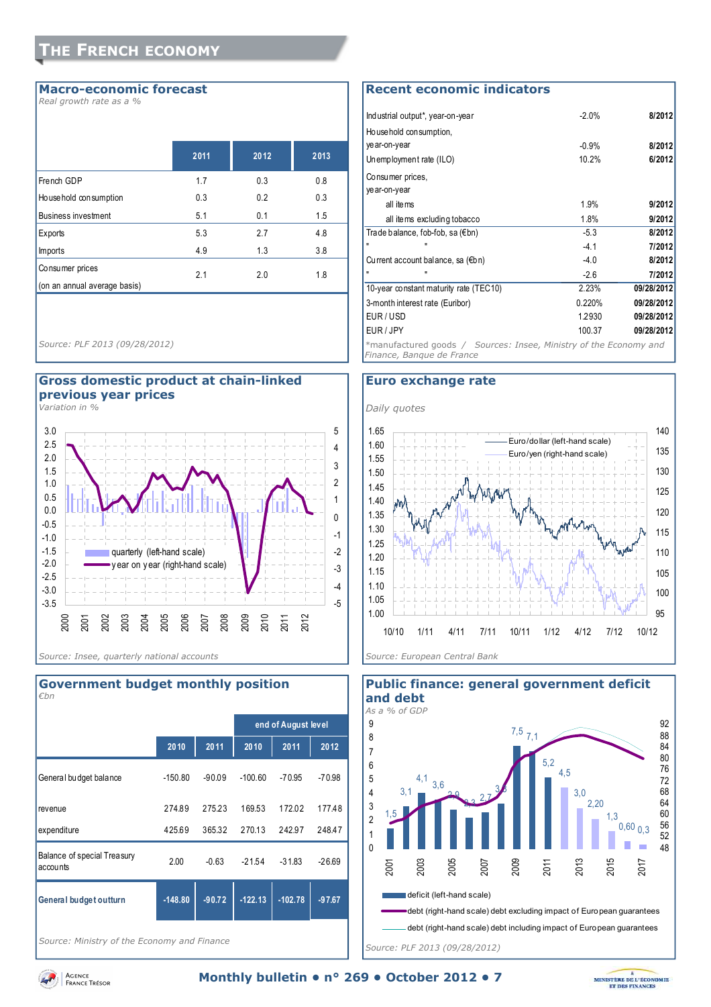#### **Macro-economic forecast**

*Real growth rate as a %* 

|                              | 2011 | 2012 | 2013 |
|------------------------------|------|------|------|
| French GDP                   | 1.7  | 0.3  | 0.8  |
| Ho use hold con sumption     | 0.3  | 0.2  | 0.3  |
| <b>Business investment</b>   | 5.1  | 0.1  | 1.5  |
| Exports                      | 5.3  | 2.7  | 4.8  |
| <b>Imports</b>               | 4.9  | 1.3  | 3.8  |
| Consumer prices              | 2.1  | 2.0  | 1.8  |
| (on an annual average basis) |      |      |      |

*Source: PLF 2013 (09/28/2012)* 

#### **Gross domestic product at chain-linked previous year prices**

*Variation in %* 



## **2010 2011 2010 2011 2012** General budget balance -150.80 -90.09 -100.60 -70.95 -70.98 revenue 274.89 275.23 169.53 172.02 177.48 expenditure 425.69 365.32 270.13 242.97 248.47 Balance of special Treasury accounts 2.00 -0.63 -21.54 -31.83 -26.69 **General budget outturn -148.80 -90.72 -122.13 -102.78 -97.67 end of August level** *€bn*

**Government budget monthly position** 

*Source: Ministry of the Economy and Finance* 

#### **Recent economic indicators**

| Industrial output*, year-on-year                                                               | $-2.0%$ | 8/2012     |  |  |  |  |
|------------------------------------------------------------------------------------------------|---------|------------|--|--|--|--|
| Household consumption,                                                                         |         |            |  |  |  |  |
| year-on-year                                                                                   | $-0.9%$ | 8/2012     |  |  |  |  |
| Unemployment rate (ILO)                                                                        | 10.2%   | 6/2012     |  |  |  |  |
| Consumer prices,                                                                               |         |            |  |  |  |  |
| ye ar-on-year                                                                                  |         |            |  |  |  |  |
| all items                                                                                      | 1.9%    | 9/2012     |  |  |  |  |
| all items excluding tobacco                                                                    | 1.8%    | 9/2012     |  |  |  |  |
| Trade balance, fob-fob, sa (€bn)                                                               | $-5.3$  | 8/2012     |  |  |  |  |
| п                                                                                              | $-4.1$  | 7/2012     |  |  |  |  |
| Current account balance, sa (€bn)                                                              | $-4.0$  | 8/2012     |  |  |  |  |
|                                                                                                | $-2.6$  | 7/2012     |  |  |  |  |
| 10-year constant maturity rate (TEC10)                                                         | 2.23%   | 09/28/2012 |  |  |  |  |
| 3-month interest rate (Euribor)                                                                | 0.220%  | 09/28/2012 |  |  |  |  |
| EUR/USD                                                                                        | 1.2930  | 09/28/2012 |  |  |  |  |
| EUR/JPY                                                                                        | 100.37  | 09/28/2012 |  |  |  |  |
| *manufactured goods / Sources: Insee, Ministry of the Economy and<br>Finance, Banque de France |         |            |  |  |  |  |

#### **Euro exchange rate**





**Public finance: general government deficit** 

Agence<br>France Trésor

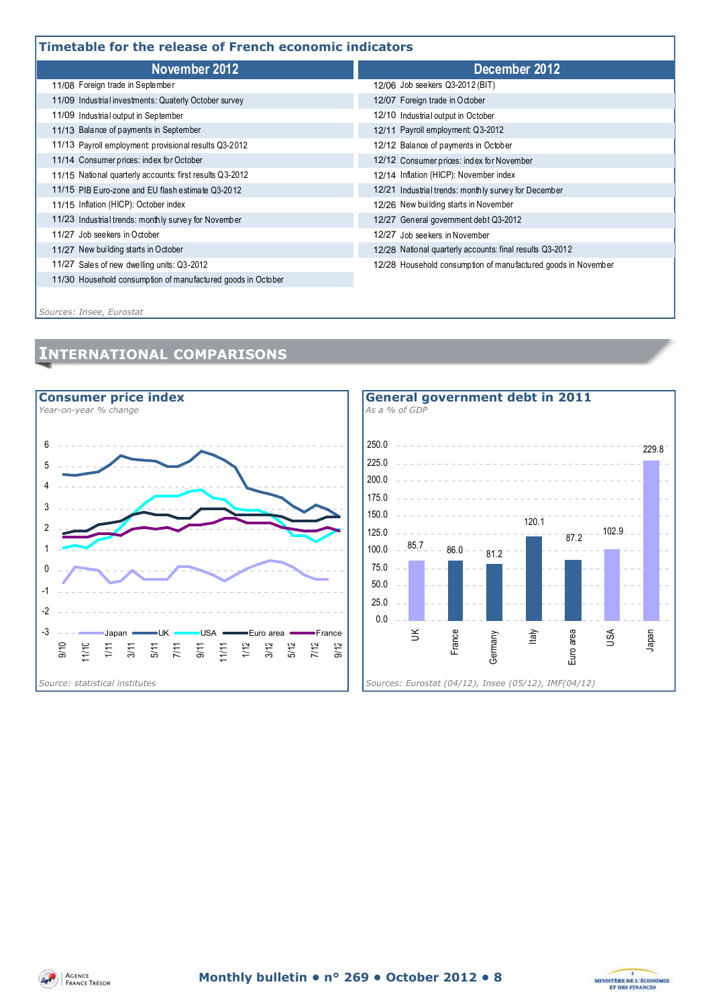## **Timetable for the release of French economic indicators**

| THREGDIE TOT LITE TEIEGSE OF FIEITCH ECONOMIC MUILGLOTS      |                                                               |  |  |  |  |  |
|--------------------------------------------------------------|---------------------------------------------------------------|--|--|--|--|--|
| November 2012                                                | December 2012                                                 |  |  |  |  |  |
| 11/08 Foreign trade in September                             | 12/06 Job seekers Q3-2012 (BIT)                               |  |  |  |  |  |
| 11/09 Industrial investments: Quaterly October survey        | 12/07 Foreign trade in October                                |  |  |  |  |  |
| 11/09 Industrial output in September                         | 12/10 Industrial output in October                            |  |  |  |  |  |
| 11/13 Balance of payments in September                       | 12/11 Payroll employment Q3-2012                              |  |  |  |  |  |
| 11/13 Payroll employment: provisional results Q3-2012        | 12/12 Balance of payments in October                          |  |  |  |  |  |
| 11/14 Consumer prices: index for October                     | 12/12 Consumer prices: index for November                     |  |  |  |  |  |
| 11/15 National quarterly accounts: first results Q3-2012     | 12/14 Inflation (HICP): November index                        |  |  |  |  |  |
| 11/15 PIB Euro-zone and EU flash estimate Q3-2012            | 12/21 Industrial trends: monthly survey for December          |  |  |  |  |  |
| 11/15 Inflation (HICP): October index                        | 12/26 New building starts in November                         |  |  |  |  |  |
| 11/23 Industrial trends: monthly survey for November         | 12/27 General government debt Q3-2012                         |  |  |  |  |  |
| 11/27 Job see kers in October                                | 12/27 Job seekers in November                                 |  |  |  |  |  |
| 11/27 New building starts in October                         | 12/28 National quarterly accounts: final results Q3-2012      |  |  |  |  |  |
| 11/27 Sales of new dwelling units: Q3-2012                   | 12/28 Household consumption of manufactured goods in November |  |  |  |  |  |
| 11/30 Household consumption of manufactured goods in October |                                                               |  |  |  |  |  |
|                                                              |                                                               |  |  |  |  |  |

*Sources: Insee, Eurostat*

## **INTERNATIONAL COMPARISONS**







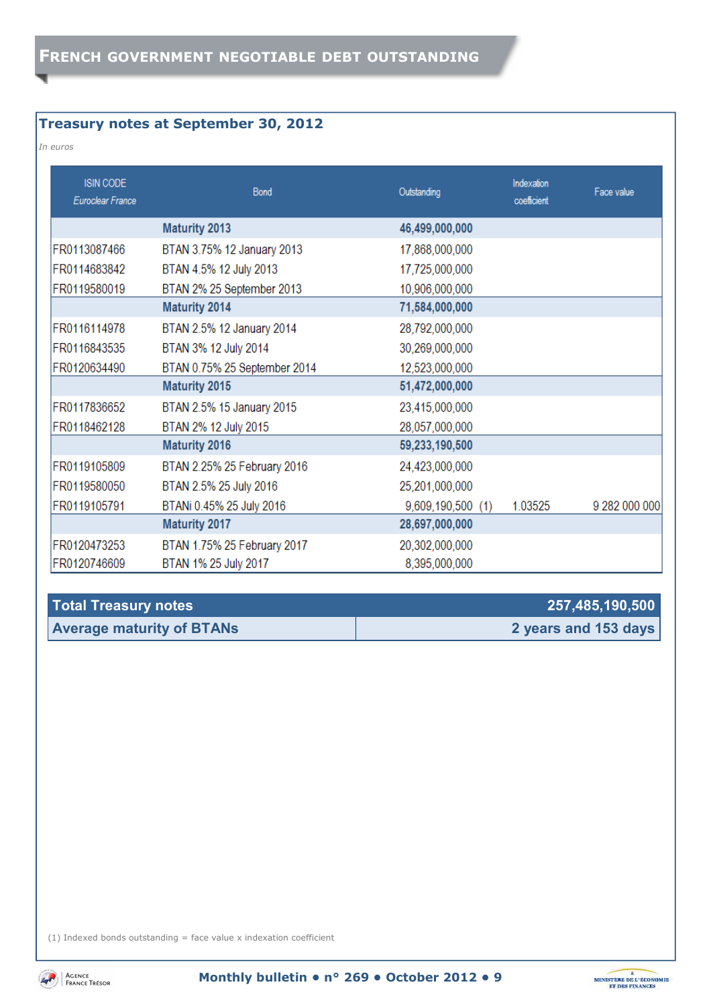## **Treasury notes at September 30, 2012**

#### *In euros*

| <b>ISIN CODE</b><br>Euroclear France | Bond                         | Outstanding       | Indexation<br>coefficient | Face value    |
|--------------------------------------|------------------------------|-------------------|---------------------------|---------------|
|                                      | <b>Maturity 2013</b>         | 46,499,000,000    |                           |               |
| FR0113087466                         | BTAN 3.75% 12 January 2013   | 17,868,000,000    |                           |               |
| FR0114683842                         | BTAN 4.5% 12 July 2013       | 17,725,000,000    |                           |               |
| FR0119580019                         | BTAN 2% 25 September 2013    | 10,906,000,000    |                           |               |
|                                      | <b>Maturity 2014</b>         | 71,584,000,000    |                           |               |
| FR0116114978                         | BTAN 2.5% 12 January 2014    | 28,792,000,000    |                           |               |
| FR0116843535                         | BTAN 3% 12 July 2014         | 30,269,000,000    |                           |               |
| FR0120634490                         | BTAN 0.75% 25 September 2014 | 12,523,000,000    |                           |               |
|                                      | <b>Maturity 2015</b>         | 51,472,000,000    |                           |               |
| FR0117836652                         | BTAN 2.5% 15 January 2015    | 23,415,000,000    |                           |               |
| FR0118462128                         | BTAN 2% 12 July 2015         | 28,057,000,000    |                           |               |
|                                      | <b>Maturity 2016</b>         | 59,233,190,500    |                           |               |
| FR0119105809                         | BTAN 2.25% 25 February 2016  | 24,423,000,000    |                           |               |
| FR0119580050                         | BTAN 2.5% 25 July 2016       | 25,201,000,000    |                           |               |
| FR0119105791                         | BTANi 0.45% 25 July 2016     | 9,609,190,500 (1) | 1.03525                   | 9 282 000 000 |
|                                      | <b>Maturity 2017</b>         | 28,697,000,000    |                           |               |
| FR0120473253                         | BTAN 1.75% 25 February 2017  | 20,302,000,000    |                           |               |
| FR0120746609                         | BTAN 1% 25 July 2017         | 8,395,000,000     |                           |               |

| <b>Total Treasury notes</b>      | 257,485,190,500      |
|----------------------------------|----------------------|
| <b>Average maturity of BTANs</b> | 2 years and 153 days |

(1) Indexed bonds outstanding  $=$  face value x indexation coefficient



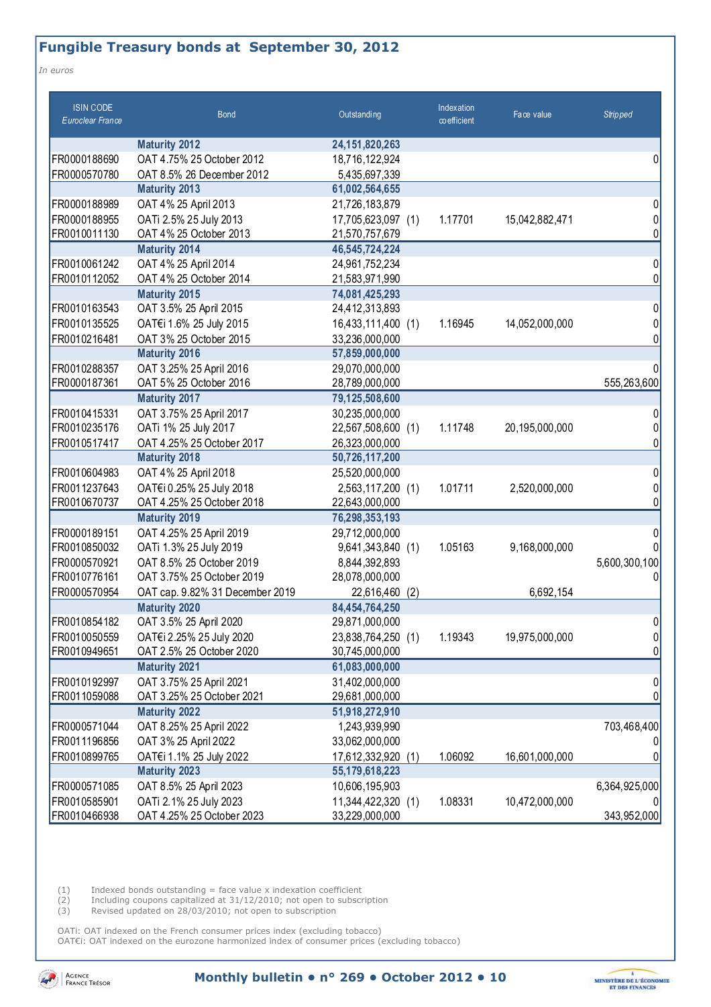## **Fungible Treasury bonds at September 30, 2012**

*In euros* 

| <b>ISIN CODE</b><br>Euroclear France | <b>Bond</b>                     | Outstanding        | Indexation<br>co efficient | Face value     | <b>Stripped</b> |
|--------------------------------------|---------------------------------|--------------------|----------------------------|----------------|-----------------|
|                                      | <b>Maturity 2012</b>            | 24, 151, 820, 263  |                            |                |                 |
| FR0000188690                         | OAT 4.75% 25 October 2012       | 18,716,122,924     |                            |                | 0               |
| FR0000570780                         | OAT 8.5% 26 December 2012       | 5,435,697,339      |                            |                |                 |
|                                      | <b>Maturity 2013</b>            | 61,002,564,655     |                            |                |                 |
| FR0000188989                         | OAT 4% 25 April 2013            | 21,726,183,879     |                            |                | 0               |
| FR0000188955                         | OATi 2.5% 25 July 2013          | 17,705,623,097 (1) | 1.17701                    | 15,042,882,471 | 0               |
| FR0010011130                         | OAT 4% 25 October 2013          | 21,570,757,679     |                            |                | 0               |
|                                      | <b>Maturity 2014</b>            | 46,545,724,224     |                            |                |                 |
| FR0010061242                         | OAT 4% 25 April 2014            | 24,961,752,234     |                            |                | 0               |
| FR0010112052                         | OAT 4% 25 October 2014          | 21,583,971,990     |                            |                | 0               |
|                                      | <b>Maturity 2015</b>            | 74,081,425,293     |                            |                |                 |
| FR0010163543                         | OAT 3.5% 25 April 2015          | 24,412,313,893     |                            |                | 0               |
| FR0010135525                         | OAT€i 1.6% 25 July 2015         | 16,433,111,400 (1) | 1.16945                    | 14,052,000,000 | 0               |
| FR0010216481                         | OAT 3% 25 October 2015          | 33,236,000,000     |                            |                | 0               |
|                                      | <b>Maturity 2016</b>            | 57,859,000,000     |                            |                |                 |
| FR0010288357                         | OAT 3.25% 25 April 2016         | 29,070,000,000     |                            |                |                 |
| FR0000187361                         | OAT 5% 25 October 2016          | 28,789,000,000     |                            |                | 555,263,600     |
|                                      | <b>Maturity 2017</b>            | 79,125,508,600     |                            |                |                 |
| FR0010415331                         | OAT 3.75% 25 April 2017         | 30,235,000,000     |                            |                | 0               |
| FR0010235176                         | OATi 1% 25 July 2017            | 22,567,508,600 (1) | 1.11748                    | 20,195,000,000 | 0               |
| FR0010517417                         | OAT 4.25% 25 October 2017       | 26,323,000,000     |                            |                | 0               |
|                                      | <b>Maturity 2018</b>            | 50,726,117,200     |                            |                |                 |
| FR0010604983                         | OAT 4% 25 April 2018            | 25,520,000,000     |                            |                | 0               |
| FR0011237643                         | OAT€i 0.25% 25 July 2018        | 2,563,117,200 (1)  | 1.01711                    | 2,520,000,000  | 0               |
| FR0010670737                         | OAT 4.25% 25 October 2018       | 22,643,000,000     |                            |                | 0               |
|                                      | <b>Maturity 2019</b>            | 76,298,353,193     |                            |                |                 |
| FR0000189151                         | OAT 4.25% 25 April 2019         | 29,712,000,000     |                            |                | 0               |
| FR0010850032                         | OATi 1.3% 25 July 2019          | 9,641,343,840 (1)  | 1.05163                    | 9,168,000,000  |                 |
| FR0000570921                         | OAT 8.5% 25 October 2019        | 8,844,392,893      |                            |                | 5,600,300,100   |
| FR0010776161                         | OAT 3.75% 25 October 2019       | 28,078,000,000     |                            |                | 0               |
| FR0000570954                         | OAT cap. 9.82% 31 December 2019 | 22,616,460 (2)     |                            | 6,692,154      |                 |
|                                      | <b>Maturity 2020</b>            | 84,454,764,250     |                            |                |                 |
| FR0010854182                         | OAT 3.5% 25 April 2020          | 29,871,000,000     |                            |                | 0               |
| FR0010050559                         | OAT€i 2.25% 25 July 2020        | 23,838,764,250 (1) | 1.19343                    | 19,975,000,000 | 0               |
| FR0010949651                         | OAT 2.5% 25 October 2020        | 30,745,000,000     |                            |                | 0               |
|                                      | <b>Maturity 2021</b>            | 61,083,000,000     |                            |                |                 |
| FR0010192997                         | OAT 3.75% 25 April 2021         | 31,402,000,000     |                            |                | 0               |
| FR0011059088                         | OAT 3.25% 25 October 2021       | 29,681,000,000     |                            |                | 0               |
|                                      | <b>Maturity 2022</b>            | 51,918,272,910     |                            |                |                 |
| FR0000571044                         | OAT 8.25% 25 April 2022         | 1,243,939,990      |                            |                | 703,468,400     |
| FR0011196856                         | OAT 3% 25 April 2022            | 33,062,000,000     |                            |                |                 |
| FR0010899765                         | OAT€i 1.1% 25 July 2022         | 17,612,332,920 (1) | 1.06092                    | 16,601,000,000 |                 |
|                                      | <b>Maturity 2023</b>            | 55,179,618,223     |                            |                |                 |
| FR0000571085                         | OAT 8.5% 25 April 2023          | 10,606,195,903     |                            |                | 6,364,925,000   |
| FR0010585901                         | OATi 2.1% 25 July 2023          | 11,344,422,320 (1) | 1.08331                    | 10,472,000,000 |                 |
| FR0010466938                         | OAT 4.25% 25 October 2023       | 33,229,000,000     |                            |                | 343,952,000     |

 $(1)$  Indexed bonds outstanding = face value x indexation coefficient

(2) Including coupons capitalized at 31/12/2010; not open to subscription

(3) Revised updated on 28/03/2010; not open to subscription

OATi: OAT indexed on the French consumer prices index (excluding tobacco) OAT€i: OAT indexed on the eurozone harmonized index of consumer prices (excluding tobacco)



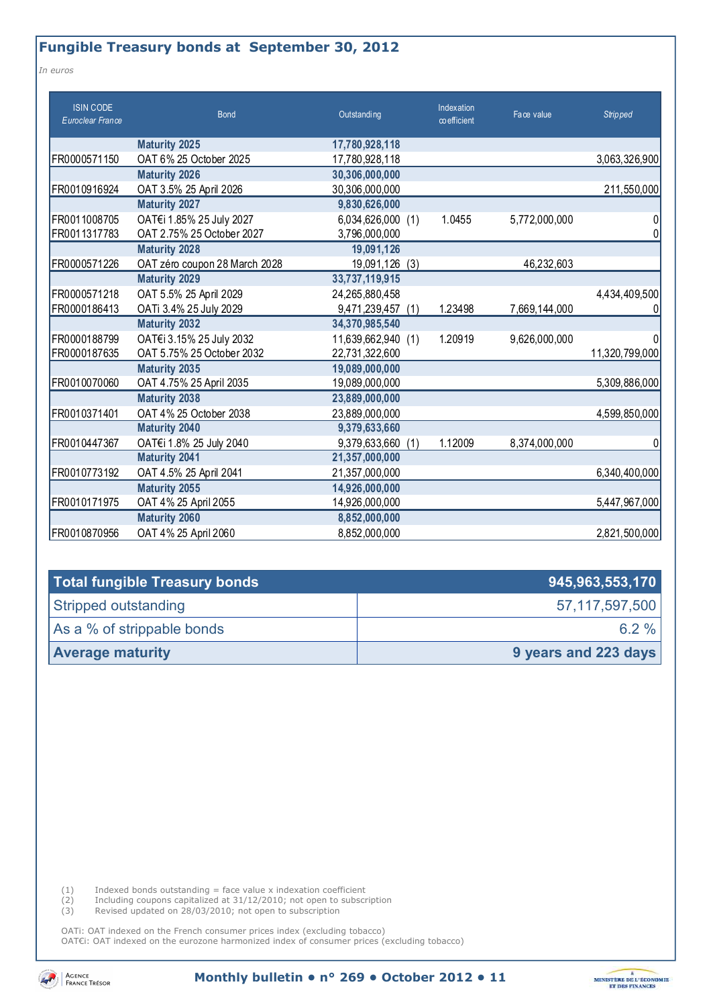## **Fungible Treasury bonds at September 30, 2012**

*In euros* 

| <b>ISIN CODE</b><br>Euroclear France | <b>Bond</b>                   | Outstanding          | Indexation<br>$\infty$ efficient | Face value    | <b>Stripped</b> |
|--------------------------------------|-------------------------------|----------------------|----------------------------------|---------------|-----------------|
|                                      | <b>Maturity 2025</b>          | 17,780,928,118       |                                  |               |                 |
| FR0000571150                         | OAT 6% 25 October 2025        | 17,780,928,118       |                                  |               | 3,063,326,900   |
|                                      | <b>Maturity 2026</b>          | 30,306,000,000       |                                  |               |                 |
| FR0010916924                         | OAT 3.5% 25 April 2026        | 30,306,000,000       |                                  |               | 211,550,000     |
|                                      | <b>Maturity 2027</b>          | 9,830,626,000        |                                  |               |                 |
| FR0011008705                         | OAT€i 1.85% 25 July 2027      | 6,034,626,000 (1)    | 1.0455                           | 5,772,000,000 | 0               |
| FR0011317783                         | OAT 2.75% 25 October 2027     | 3,796,000,000        |                                  |               | 0               |
|                                      | <b>Maturity 2028</b>          | 19,091,126           |                                  |               |                 |
| FR0000571226                         | OAT zéro coupon 28 March 2028 | 19,091,126<br>(3)    |                                  | 46,232,603    |                 |
|                                      | <b>Maturity 2029</b>          | 33,737,119,915       |                                  |               |                 |
| FR0000571218                         | OAT 5.5% 25 April 2029        | 24,265,880,458       |                                  |               | 4,434,409,500   |
| FR0000186413                         | OATi 3.4% 25 July 2029        | 9,471,239,457<br>(1) | 1.23498                          | 7,669,144,000 | 0               |
|                                      | <b>Maturity 2032</b>          | 34,370,985,540       |                                  |               |                 |
| FR0000188799                         | OAT€i 3.15% 25 July 2032      | 11,639,662,940 (1)   | 1.20919                          | 9,626,000,000 |                 |
| FR0000187635                         | OAT 5.75% 25 October 2032     | 22,731,322,600       |                                  |               | 11,320,799,000  |
|                                      | <b>Maturity 2035</b>          | 19,089,000,000       |                                  |               |                 |
| FR0010070060                         | OAT 4.75% 25 April 2035       | 19,089,000,000       |                                  |               | 5,309,886,000   |
|                                      | <b>Maturity 2038</b>          | 23,889,000,000       |                                  |               |                 |
| FR0010371401                         | OAT 4% 25 October 2038        | 23,889,000,000       |                                  |               | 4,599,850,000   |
|                                      | <b>Maturity 2040</b>          | 9,379,633,660        |                                  |               |                 |
| FR0010447367                         | OAT€i 1.8% 25 July 2040       | 9,379,633,660<br>(1) | 1.12009                          | 8,374,000,000 | 0               |
|                                      | <b>Maturity 2041</b>          | 21,357,000,000       |                                  |               |                 |
| FR0010773192                         | OAT 4.5% 25 April 2041        | 21,357,000,000       |                                  |               | 6,340,400,000   |
|                                      | <b>Maturity 2055</b>          | 14,926,000,000       |                                  |               |                 |
| FR0010171975                         | OAT 4% 25 April 2055          | 14,926,000,000       |                                  |               | 5,447,967,000   |
|                                      | <b>Maturity 2060</b>          | 8,852,000,000        |                                  |               |                 |
| FR0010870956                         | OAT 4% 25 April 2060          | 8,852,000,000        |                                  |               | 2,821,500,000   |

| Total fungible Treasury bonds | 945,963,553,170      |
|-------------------------------|----------------------|
| Stripped outstanding          | 57,117,597,500       |
| As a % of strippable bonds    | 6.2 $%$              |
| <b>Average maturity</b>       | 9 years and 223 days |

 $(1)$  Indexed bonds outstanding = face value x indexation coefficient

(2) Including coupons capitalized at 31/12/2010; not open to subscription

(3) Revised updated on 28/03/2010; not open to subscription

OATi: OAT indexed on the French consumer prices index (excluding tobacco) OAT€i: OAT indexed on the eurozone harmonized index of consumer prices (excluding tobacco)